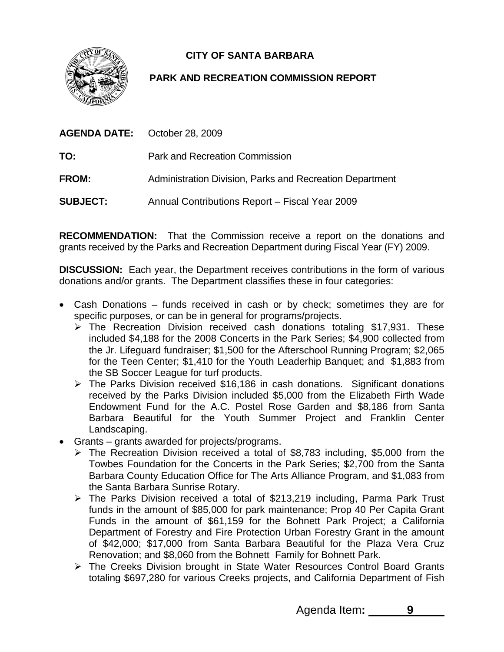**CITY OF SANTA BARBARA** 



# **PARK AND RECREATION COMMISSION REPORT**

| <b>AGENDA DATE:</b> October 28, 2009 |                                                          |
|--------------------------------------|----------------------------------------------------------|
| TO:                                  | <b>Park and Recreation Commission</b>                    |
| <b>FROM:</b>                         | Administration Division, Parks and Recreation Department |
| <b>SUBJECT:</b>                      | Annual Contributions Report - Fiscal Year 2009           |

**RECOMMENDATION:** That the Commission receive a report on the donations and grants received by the Parks and Recreation Department during Fiscal Year (FY) 2009.

**DISCUSSION:** Each year, the Department receives contributions in the form of various donations and/or grants. The Department classifies these in four categories:

- Cash Donations funds received in cash or by check; sometimes they are for specific purposes, or can be in general for programs/projects.
	- $\triangleright$  The Recreation Division received cash donations totaling \$17,931. These included \$4,188 for the 2008 Concerts in the Park Series; \$4,900 collected from the Jr. Lifeguard fundraiser; \$1,500 for the Afterschool Running Program; \$2,065 for the Teen Center; \$1,410 for the Youth Leaderhip Banquet; and \$1,883 from the SB Soccer League for turf products.
	- ¾ The Parks Division received \$16,186 in cash donations. Significant donations received by the Parks Division included \$5,000 from the Elizabeth Firth Wade Endowment Fund for the A.C. Postel Rose Garden and \$8,186 from Santa Barbara Beautiful for the Youth Summer Project and Franklin Center Landscaping.
- Grants grants awarded for projects/programs.
	- $\triangleright$  The Recreation Division received a total of \$8,783 including, \$5,000 from the Towbes Foundation for the Concerts in the Park Series; \$2,700 from the Santa Barbara County Education Office for The Arts Alliance Program, and \$1,083 from the Santa Barbara Sunrise Rotary.
	- ¾ The Parks Division received a total of \$213,219 including, Parma Park Trust funds in the amount of \$85,000 for park maintenance; Prop 40 Per Capita Grant Funds in the amount of \$61,159 for the Bohnett Park Project; a California Department of Forestry and Fire Protection Urban Forestry Grant in the amount of \$42,000; \$17,000 from Santa Barbara Beautiful for the Plaza Vera Cruz Renovation; and \$8,060 from the Bohnett Family for Bohnett Park.
	- ¾ The Creeks Division brought in State Water Resources Control Board Grants totaling \$697,280 for various Creeks projects, and California Department of Fish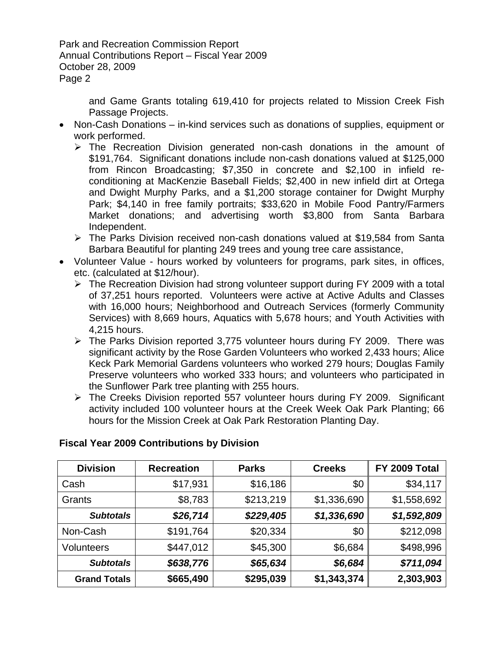Park and Recreation Commission Report Annual Contributions Report – Fiscal Year 2009 October 28, 2009 Page 2

> and Game Grants totaling 619,410 for projects related to Mission Creek Fish Passage Projects.

- Non-Cash Donations in-kind services such as donations of supplies, equipment or work performed.
	- $\triangleright$  The Recreation Division generated non-cash donations in the amount of \$191,764. Significant donations include non-cash donations valued at \$125,000 from Rincon Broadcasting; \$7,350 in concrete and \$2,100 in infield reconditioning at MacKenzie Baseball Fields; \$2,400 in new infield dirt at Ortega and Dwight Murphy Parks, and a \$1,200 storage container for Dwight Murphy Park; \$4,140 in free family portraits; \$33,620 in Mobile Food Pantry/Farmers Market donations; and advertising worth \$3,800 from Santa Barbara Independent.
	- ¾ The Parks Division received non-cash donations valued at \$19,584 from Santa Barbara Beautiful for planting 249 trees and young tree care assistance,
- Volunteer Value hours worked by volunteers for programs, park sites, in offices, etc. (calculated at \$12/hour).
	- ¾ The Recreation Division had strong volunteer support during FY 2009 with a total of 37,251 hours reported. Volunteers were active at Active Adults and Classes with 16,000 hours; Neighborhood and Outreach Services (formerly Community Services) with 8,669 hours, Aquatics with 5,678 hours; and Youth Activities with 4,215 hours.
	- $\triangleright$  The Parks Division reported 3,775 volunteer hours during FY 2009. There was significant activity by the Rose Garden Volunteers who worked 2,433 hours; Alice Keck Park Memorial Gardens volunteers who worked 279 hours; Douglas Family Preserve volunteers who worked 333 hours; and volunteers who participated in the Sunflower Park tree planting with 255 hours.
	- ¾ The Creeks Division reported 557 volunteer hours during FY 2009. Significant activity included 100 volunteer hours at the Creek Week Oak Park Planting; 66 hours for the Mission Creek at Oak Park Restoration Planting Day.

| <b>Division</b>     | <b>Recreation</b> | <b>Parks</b> | <b>Creeks</b> | FY 2009 Total |
|---------------------|-------------------|--------------|---------------|---------------|
| Cash                | \$17,931          | \$16,186     | \$0           | \$34,117      |
| Grants              | \$8,783           | \$213,219    | \$1,336,690   | \$1,558,692   |
| <b>Subtotals</b>    | \$26,714          | \$229,405    | \$1,336,690   | \$1,592,809   |
| Non-Cash            | \$191,764         | \$20,334     | \$0           | \$212,098     |
| <b>Volunteers</b>   | \$447,012         | \$45,300     | \$6,684       | \$498,996     |
| <b>Subtotals</b>    | \$638,776         | \$65,634     | \$6,684       | \$711,094     |
| <b>Grand Totals</b> | \$665,490         | \$295,039    | \$1,343,374   | 2,303,903     |

## **Fiscal Year 2009 Contributions by Division**